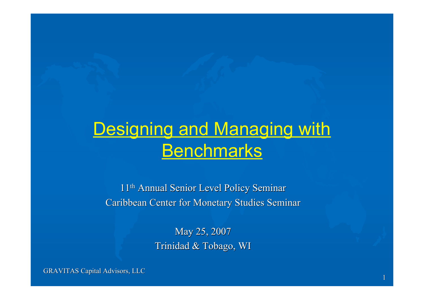#### **Designing and Managing with Benchmarks**

11<sup>th</sup> Annual Senior Level Policy Seminar Caribbean Center for Monetary Studies Seminar

> May 25, 2007 Trinidad & Tobago, WI

GRAVITAS Capital Advisors, LLC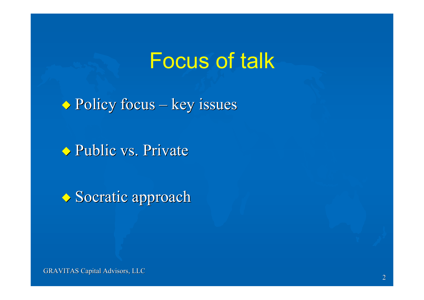#### Focus of talk

 $\rightarrow$  Policy focus – key issues

◆ Public vs. Private

◆ Socratic approach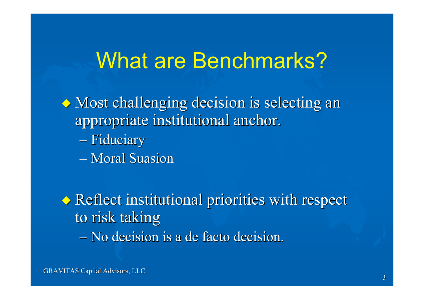#### What are Benchmarks?

 $\lozenge$  Most challenging decision is selecting an appropriate institutional anchor.

- Fiduciary
- Moral Suasion

◆ Reflect institutional priorities with respect to risk taking – No decision is a de facto decision.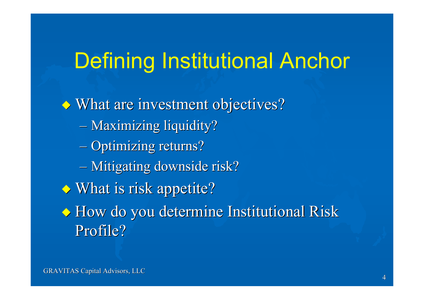### Defining Institutional Anchor

 $\rightarrow$  What are investment objectives? – Maximizing liquidity? – Optimizing returns? – Mitigating downside risk? ◆ What is risk appetite? ◆ How do you determine Institutional Risk Profile?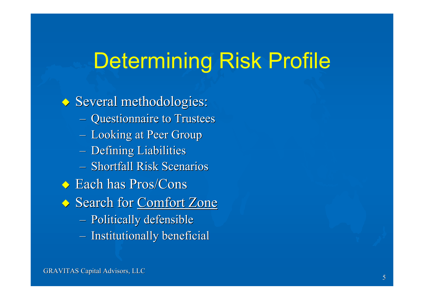## Determining Risk Profile

◆ Several methodologies: – Questionnaire to Trustees – Looking at Peer Group  $-$  Defining Liabilities  $-$  Shortfall Risk Scenarios ◆ Each has Pros/Cons Search for Comfort Zone – Politically defensible – Institutionally beneficial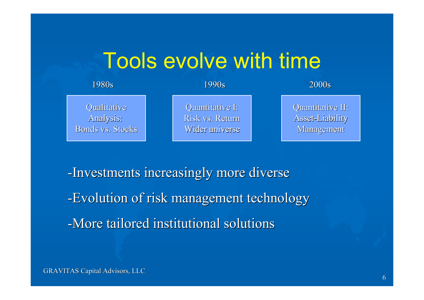#### Tools evolve with time

#### Qualitative Qualitative Analysis: Analysis:

Bonds vs. Stocks

Quantitative I: Risk vs. Return Wider universe

1980s 1990s 2000s

Quantitative II: Asset-Liability Asset-Liability Management Management

-Investments increasingly more diverse -Evolution of risk management technology -More tailored institutional solutions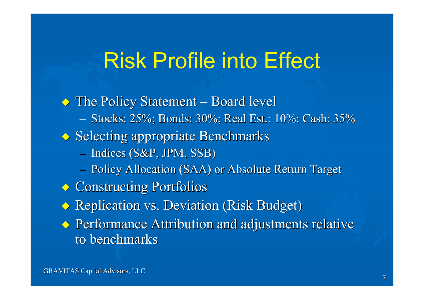### Risk Profile into Effect

◆ The Policy Statement – Board level – Stocks: 25%; Bonds: 30%; Real Est.: 10%: Cash: 35% ◆ Selecting appropriate Benchmarks  $-$  Indices (S&P, JPM, SSB) – Policy Allocation (SAA) or Absolute Return Target ◆ Constructing Portfolios ◆ Replication vs. Deviation (Risk Budget) ◆ Performance Attribution and adjustments relative to benchmarks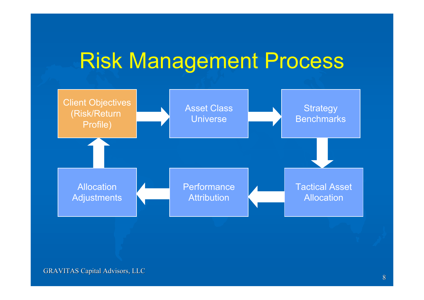### Risk Management Process

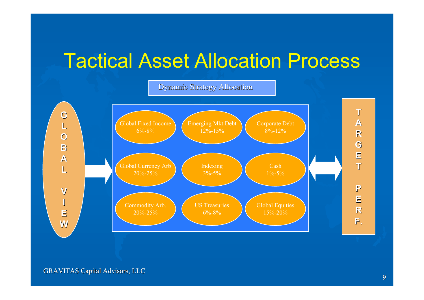#### Tactical Asset Allocation Process

Dynamic Strategy Allocation

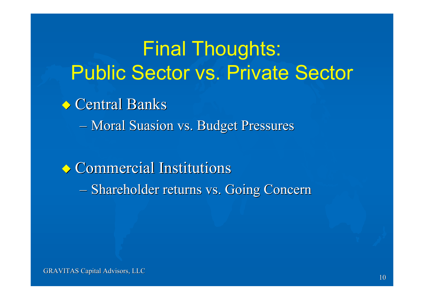#### Final Thoughts: Public Sector vs. Private Sector

**◆ Central Banks** 

– Moral Suasion vs. Budget Pressures

**◆ Commercial Institutions** – Shareholder returns vs. Going Concern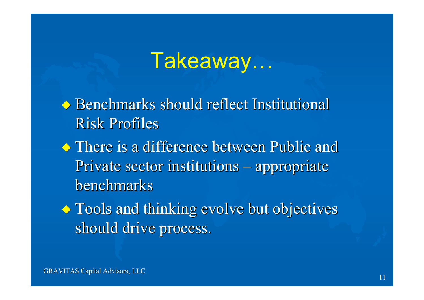### Takeaway…

◆ Benchmarks should reflect Institutional Risk Profiles

- **◆ There is a difference between Public and** Private sector institutions – appropriate benchmarks
- $\rightarrow$  Tools and thinking evolve but objectives should drive process.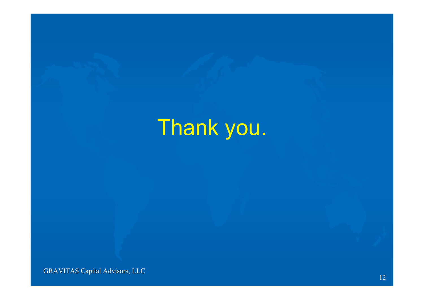# Thank you.

GRAVITAS Capital Advisors, LLC